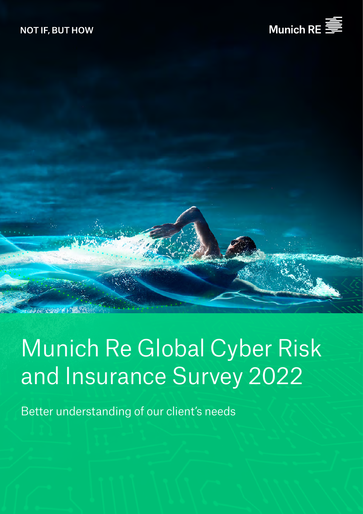



# Munich Re Global Cyber Risk and Insurance Survey 2022

Better understanding of our client's needs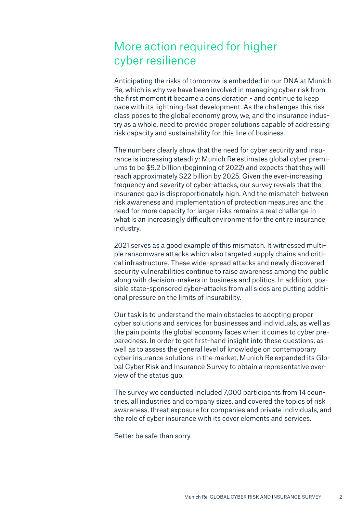### More action required for higher cyber resilience

Anticipating the risks of tomorrow is embedded in our DNA at Munich Re, which is why we have been involved in managing cyber risk from the first moment it became a consideration - and continue to keep pace with its lightning-fast development. As the challenges this risk class poses to the global economy grow, we, and the insurance industry as a whole, need to provide proper solutions capable of addressing risk capacity and sustainability for this line of business.

The numbers clearly show that the need for cyber security and insurance is increasing steadily: Munich Re estimates global cyber premiums to be \$9.2 billion (beginning of 2022) and expects that they will reach approximately \$22 billion by 2025. Given the ever-increasing frequency and severity of cyber-attacks, our survey reveals that the insurance gap is disproportionately high. And the mismatch between risk awareness and implementation of protection measures and the need for more capacity for larger risks remains a real challenge in what is an increasingly difficult environment for the entire insurance industry.

2021 serves as a good example of this mismatch. It witnessed multiple ransomware attacks which also targeted supply chains and critical infrastructure. These wide-spread attacks and newly discovered security vulnerabilities continue to raise awareness among the public along with decision-makers in business and politics. In addition, possible state-sponsored cyber-attacks from all sides are putting additional pressure on the limits of insurability.

Our task is to understand the main obstacles to adopting proper cyber solutions and services for businesses and individuals, as well as the pain points the global economy faces when it comes to cyber preparedness. In order to get first-hand insight into these questions, as well as to assess the general level of knowledge on contemporary cyber insurance solutions in the market, Munich Re expanded its Global Cyber Risk and Insurance Survey to obtain a representative overview of the status quo.

The survey we conducted included 7,000 participants from 14 countries, all industries and company sizes, and covered the topics of risk awareness, threat exposure for companies and private individuals, and the role of cyber insurance with its cover elements and services.

Better be safe than sorry.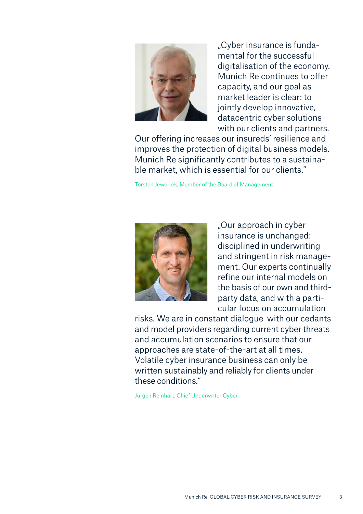

"Cyber insurance is fundamental for the successful digitalisation of the economy. Munich Re continues to offer capacity, and our goal as market leader is clear: to jointly develop innovative, datacentric cyber solutions with our clients and partners.

Our offering increases our insureds' resilience and improves the protection of digital business models. Munich Re significantly contributes to a sustainable market, which is essential for our clients."

Torsten Jeworrek, Member of the Board of Management



"Our approach in cyber insurance is unchanged: disciplined in underwriting and stringent in risk management. Our experts continually refine our internal models on the basis of our own and thirdparty data, and with a particular focus on accumulation

risks. We are in constant dialogue with our cedants and model providers regarding current cyber threats and accumulation scenarios to ensure that our approaches are state-of-the-art at all times. Volatile cyber insurance business can only be written sustainably and reliably for clients under these conditions."

Jürgen Reinhart, Chief Underwriter Cyber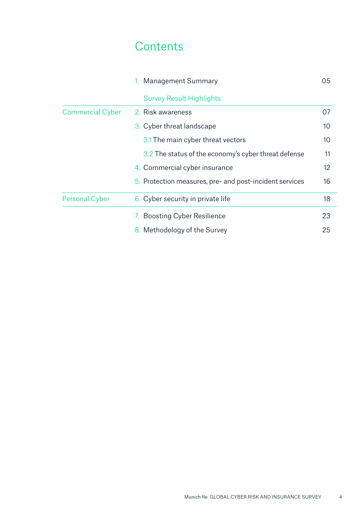### **Contents**

|                         | 1. Management Summary                                   | 05 |
|-------------------------|---------------------------------------------------------|----|
|                         | <b>Survey Result Highlights</b>                         |    |
| <b>Commercial Cyber</b> | 2. Risk awareness                                       | 07 |
|                         | 3. Cyber threat landscape                               | 10 |
|                         | 3.1 The main cyber threat vectors                       | 10 |
|                         | 3.2 The status of the economy's cyber threat defense    | 11 |
|                         | 4. Commercial cyber insurance                           | 12 |
|                         | 5. Protection measures, pre- and post-incident services | 16 |
| <b>Personal Cyber</b>   | 6. Cyber security in private life                       | 18 |
|                         | 7. Boosting Cyber Resilience                            | 23 |
|                         | 8. Methodology of the Survey                            | 25 |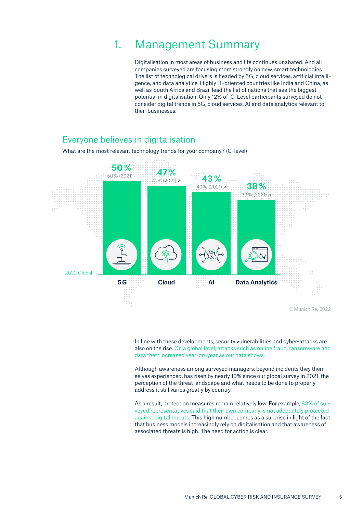### 1. Management Summary

Digitalisation in most areas of business and life continues unabated. And all companies surveyed are focusing more strongly on new, smart technologies. The list of technological drivers is headed by 5G, cloud services, artificial intelligence, and data analytics. Highly IT-oriented countries like India and China, as well as South Africa and Brazil lead the list of nations that see the biggest potential in digitalisation. Only 12% of C-Level participants surveyed do not consider digital trends in 5G, cloud services, AI and data analytics relevant to their businesses.

### Everyone believes in digitalisation

What are the most relevant technology trends for your company? (C-level)



In line with these developments, security vulnerabilities and cyber-attacks are also on the rise. On a global level, attacks such as online fraud, ransomware and data theft increased year-on-year as our data shows.

Although awareness among surveyed managers, beyond incidents they themselves experienced, has risen by nearly 10% since our global survey in 2021, the perception of the threat landscape and what needs to be done to properly address it still varies greatly by country.

As a result, protection measures remain relatively low. For example, 83% of surveyed representatives said that their own company is not adequately protected against digital threats. This high number comes as a surprise in light of the fact that business models increasingly rely on digitalisation and that awareness of associated threats is high. The need for action is clear.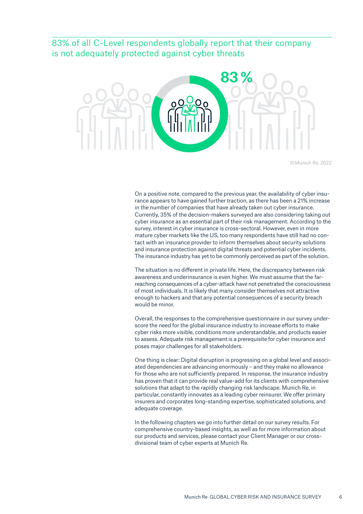### 83% of all C-Level respondents globally report that their company is not adequately protected against cyber threats



© Munich Re, 2022

On a positive note, compared to the previous year, the availability of cyber insurance appears to have gained further traction, as there has been a 21% increase in the number of companies that have already taken out cyber insurance. Currently, 35% of the decision-makers surveyed are also considering taking out cyber insurance as an essential part of their risk management. According to the survey, interest in cyber insurance is cross-sectoral. However, even in more mature cyber markets like the US, too many respondents have still had no contact with an insurance provider to inform themselves about security solutions and insurance protection against digital threats and potential cyber incidents. The insurance industry has yet to be commonly perceived as part of the solution.

The situation is no different in private life. Here, the discrepancy between risk awareness and underinsurance is even higher. We must assume that the farreaching consequences of a cyber-attack have not penetrated the consciousness of most individuals. It is likely that many consider themselves not attractive enough to hackers and that any potential consequences of a security breach would be minor.

Overall, the responses to the comprehensive questionnaire in our survey underscore the need for the global insurance industry to increase efforts to make cyber risks more visible, conditions more understandable, and products easier to assess. Adequate risk management is a prerequisite for cyber insurance and poses major challenges for all stakeholders.

One thing is clear: Digital disruption is progressing on a global level and associated dependencies are advancing enormously – and they make no allowance for those who are not sufficiently prepared. In response, the insurance industry has proven that it can provide real value-add for its clients with comprehensive solutions that adapt to the rapidly changing risk landscape. Munich Re, in particular, constantly innovates as a leading cyber reinsurer. We offer primary insurers and corporates long-standing expertise, sophisticated solutions, and adequate coverage.

In the following chapters we go into further detail on our survey results. For comprehensive country-based insights, as well as for more information about our products and services, please contact your Client Manager or our crossdivisional team of cyber experts at Munich Re.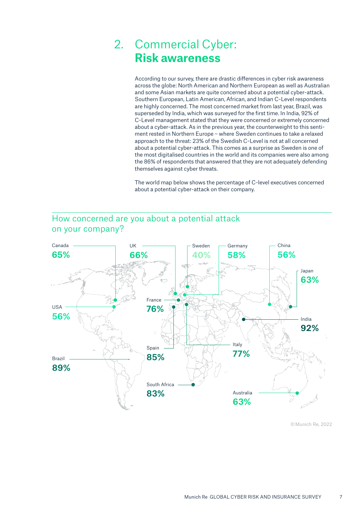### 2. Commercial Cyber: **Risk awareness**

According to our survey, there are drastic differences in cyber risk awareness across the globe: North American and Northern European as well as Australian and some Asian markets are quite concerned about a potential cyber-attack. Southern European, Latin American, African, and Indian C-Level respondents are highly concerned. The most concerned market from last year, Brazil, was superseded by India, which was surveyed for the first time. In India, 92% of C-Level management stated that they were concerned or extremely concerned about a cyber-attack. As in the previous year, the counterweight to this sentiment rested in Northern Europe – where Sweden continues to take a relaxed approach to the threat: 23% of the Swedish C-Level is not at all concerned about a potential cyber-attack. This comes as a surprise as Sweden is one of the most digitalised countries in the world and its companies were also among the 86% of respondents that answered that they are not adequately defending themselves against cyber threats.

The world map below shows the percentage of C-level executives concerned about a potential cyber-attack on their company.



### How concerned are you about a potential attack on your company?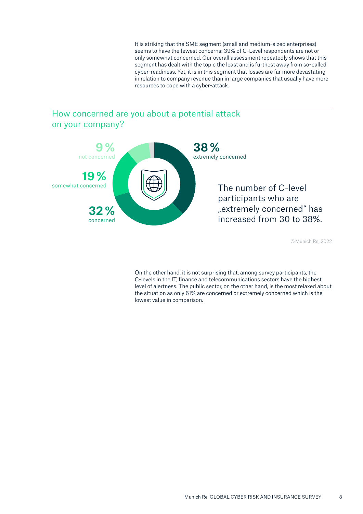It is striking that the SME segment (small and medium-sized enterprises) seems to have the fewest concerns: 39% of C-Level respondents are not or only somewhat concerned. Our overall assessment repeatedly shows that this segment has dealt with the topic the least and is furthest away from so-called cyber-readiness. Yet, it is in this segment that losses are far more devastating in relation to company revenue than in large companies that usually have more resources to cope with a cyber-attack.

### How concerned are you about a potential attack on your company?



© Munich Re, 2022

On the other hand, it is not surprising that, among survey participants, the C-levels in the IT, finance and telecommunications sectors have the highest level of alertness. The public sector, on the other hand, is the most relaxed about the situation as only 61% are concerned or extremely concerned which is the lowest value in comparison.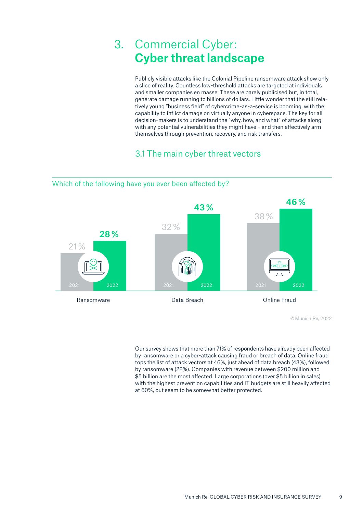### 3. Commercial Cyber: **Cyber threat landscape**

Publicly visible attacks like the Colonial Pipeline ransomware attack show only a slice of reality. Countless low-threshold attacks are targeted at individuals and smaller companies en masse. These are barely publicised but, in total, generate damage running to billions of dollars. Little wonder that the still relatively young "business field" of cybercrime-as-a-service is booming, with the capability to inflict damage on virtually anyone in cyberspace. The key for all decision-makers is to understand the "why, how, and what" of attacks along with any potential vulnerabilities they might have – and then effectively arm themselves through prevention, recovery, and risk transfers.

### 3.1 The main cyber threat vectors



© Munich Re, 2022

Our survey shows that more than 71% of respondents have already been affected by ransomware or a cyber-attack causing fraud or breach of data. Online fraud tops the list of attack vectors at 46%, just ahead of data breach (43%), followed by ransomware (28%). Companies with revenue between \$200 million and \$5 billion are the most affected. Large corporations (over \$5 billion in sales) with the highest prevention capabilities and IT budgets are still heavily affected at 60%, but seem to be somewhat better protected.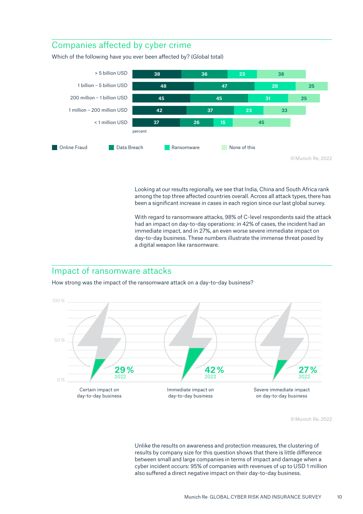### Companies affected by cyber crime

Which of the following have you ever been affected by? (Global total)



Looking at our results regionally, we see that India, China and South Africa rank among the top three affected countries overall. Across all attack types, there has been a significant increase in cases in each region since our last global survey.

With regard to ransomware attacks, 98% of C-level respondents said the attack had an impact on day-to-day operations: in 42% of cases, the incident had an immediate impact, and in 27%, an even worse severe immediate impact on day-to-day business. These numbers illustrate the immense threat posed by a digital weapon like ransomware.

### Impact of ransomware attacks

How strong was the impact of the ransomware attack on a day-to-day business?



© Munich Re, 2022

Unlike the results on awareness and protection measures, the clustering of results by company size for this question shows that there is little difference between small and large companies in terms of impact and damage when a cyber incident occurs: 95% of companies with revenues of up to USD 1 million also suffered a direct negative impact on their day-to-day business.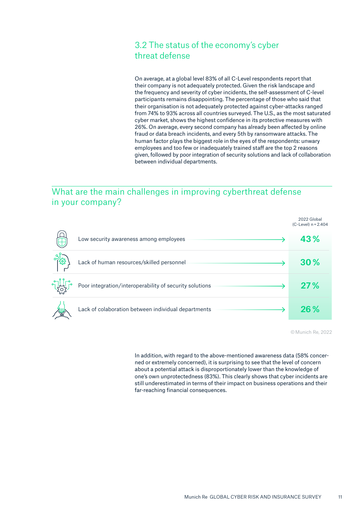### 3.2 The status of the economy's cyber threat defense

On average, at a global level 83% of all C-Level respondents report that their company is not adequately protected. Given the risk landscape and the frequency and severity of cyber incidents, the self-assessment of C-level participants remains disappointing. The percentage of those who said that their organisation is not adequately protected against cyber-attacks ranged from 74% to 93% across all countries surveyed. The U.S., as the most saturated cyber market, shows the highest confidence in its protective measures with 26%. On average, every second company has already been affected by online fraud or data breach incidents, and every 5th by ransomware attacks. The human factor plays the biggest role in the eyes of the respondents: unwary employees and too few or inadequately trained staff are the top 2 reasons given, followed by poor integration of security solutions and lack of collaboration between individual departments.

### What are the main challenges in improving cyberthreat defense in your company?

 $\overline{a}$ 

|                                                         | 2022 Global<br>$(C$ -Level) $n = 2.404$ |
|---------------------------------------------------------|-----------------------------------------|
| Low security awareness among employees                  | 43%                                     |
| Lack of human resources/skilled personnel               | 30%                                     |
| Poor integration/interoperability of security solutions | 27%                                     |
| Lack of colaboration between individual departments     | 26%                                     |

© Munich Re, 2022

In addition, with regard to the above-mentioned awareness data (58% concerned or extremely concerned), it is surprising to see that the level of concern about a potential attack is disproportionately lower than the knowledge of one's own unprotectedness (83%). This clearly shows that cyber incidents are still underestimated in terms of their impact on business operations and their far-reaching financial consequences.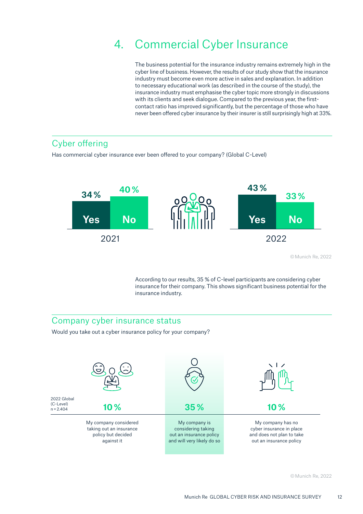## 4. Commercial Cyber Insurance

The business potential for the insurance industry remains extremely high in the cyber line of business. However, the results of our study show that the insurance industry must become even more active in sales and explanation. In addition to necessary educational work (as described in the course of the study), the insurance industry must emphasise the cyber topic more strongly in discussions with its clients and seek dialogue. Compared to the previous year, the firstcontact ratio has improved significantly, but the percentage of those who have never been offered cyber insurance by their insurer is still surprisingly high at 33%.

### Cyber offering

Has commercial cyber insurance ever been offered to your company? (Global C-Level)



© Munich Re, 2022

According to our results, 35 % of C-level participants are considering cyber insurance for their company. This shows significant business potential for the insurance industry.

### Company cyber insurance status

Would you take out a cyber insurance policy for your company?

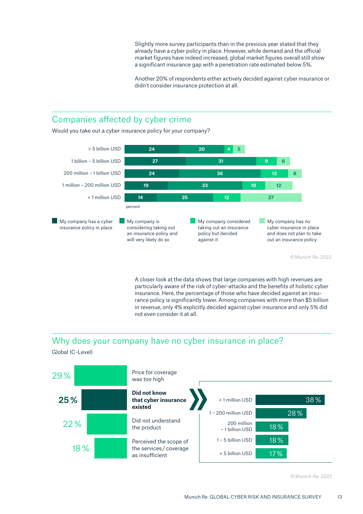Slightly more survey participants than in the previous year stated that they already have a cyber policy in place. However, while demand and the official market figures have indeed increased, global market figures overall still show a significant insurance gap with a penetration rate estimated below 5%.

Another 20% of respondents either actively decided against cyber insurance or didn't consider insurance protection at all.

### Companies affected by cyber crime

Would you take out a cyber insurance policy for your company?



© Munich Re, 2022

A closer look at the data shows that large companies with high revenues are particularly aware of the risk of cyber-attacks and the benefits of holistic cyber insurance. Here, the percentage of those who have decided against an insurance policy is significantly lower. Among companies with more than \$5 billion in revenue, only 4% explicitly decided against cyber insurance and only 5% did not even consider it at all.

### Why does your company have no cyber insurance in place?

Global (C-Level)

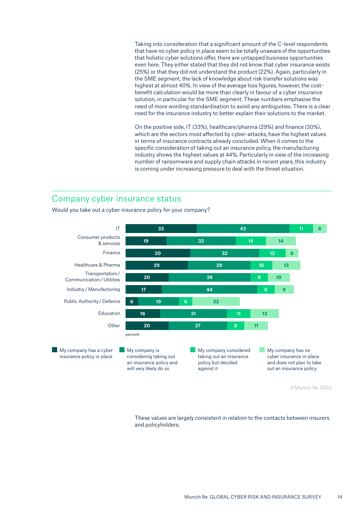Taking into consideration that a significant amount of the C-level respondents that have no cyber policy in place seem to be totally unaware of the opportunities that holistic cyber solutions offer, there are untapped business opportunities even here. They either stated that they did not know that cyber insurance exists (25%) or that they did not understand the product (22%). Again, particularly in the SME segment, the lack of knowledge about risk transfer solutions was highest at almost 40%. In view of the average loss figures, however, the costbenefit calculation would be more than clearly in favour of a cyber insurance solution, in particular for the SME segment. These numbers emphasise the need of more wording standardisation to avoid any ambiguities. There is a clear need for the insurance industry to better explain their solutions to the market.

On the positive side, IT (33%), healthcare/pharma (29%) and finance (30%), which are the sectors most affected by cyber-attacks, have the highest values in terms of insurance contracts already concluded. When it comes to the specific consideration of taking out an insurance policy, the manufacturing industry shows the highest values at 44%. Particularly in view of the increasing number of ransomware and supply chain attacks in recent years, this industry is coming under increasing pressure to deal with the threat situation.

### Company cyber insurance status

Would you take out a cyber insurance policy for your company?



These values are largely consistent in relation to the contacts between insurers and policyholders.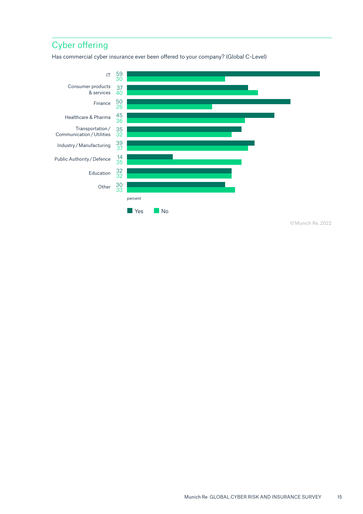### Cyber offering

Has commercial cyber insurance ever been offered to your company? (Global C-Level)

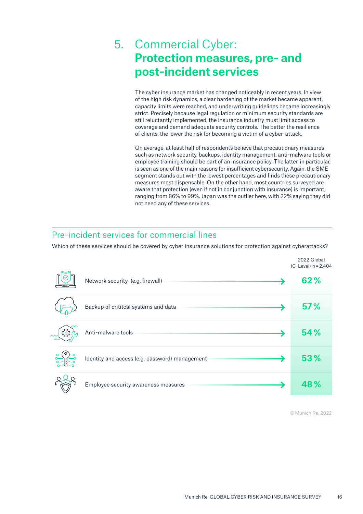### 5. Commercial Cyber: **Protection measures, pre- and post-incident services**

The cyber insurance market has changed noticeably in recent years. In view of the high risk dynamics, a clear hardening of the market became apparent, capacity limits were reached, and underwriting guidelines became increasingly strict. Precisely because legal regulation or minimum security standards are still reluctantly implemented, the insurance industry must limit access to coverage and demand adequate security controls. The better the resilience of clients, the lower the risk for becoming a victim of a cyber-attack.

On average, at least half of respondents believe that precautionary measures such as network security, backups, identity management, anti-malware tools or employee training should be part of an insurance policy. The latter, in particular, is seen as one of the main reasons for insufficient cybersecurity. Again, the SME segment stands out with the lowest percentages and finds these precautionary measures most dispensable. On the other hand, most countries surveyed are aware that protection (even if not in conjunction with insurance) is important, ranging from 86% to 99%. Japan was the outlier here, with 22% saying they did not need any of these services.

### Pre-incident services for commercial lines

Which of these services should be covered by cyber insurance solutions for protection against cyberattacks?

|         |                                                | 2022 Global<br>$(C$ -Level) $n = 2.404$ |
|---------|------------------------------------------------|-----------------------------------------|
|         | Network security (e.g. firewall)               | 62%                                     |
|         | Backup of crititcal systems and data           | 57%                                     |
| $x^2_2$ | Anti-malware tools                             | 54%                                     |
|         | Identity and access (e.g. password) management | 53%                                     |
|         | Employee security awareness measures           | 48%                                     |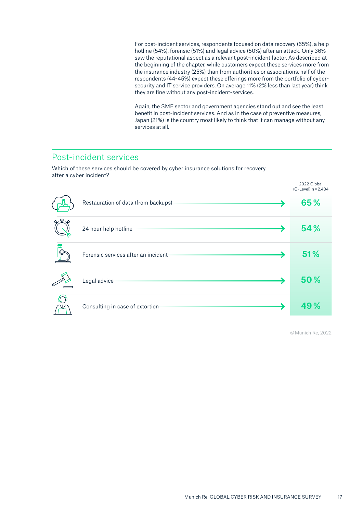For post-incident services, respondents focused on data recovery (65%), a help hotline (54%), forensic (51%) and legal advice (50%) after an attack. Only 36% saw the reputational aspect as a relevant post-incident factor. As described at the beginning of the chapter, while customers expect these services more from the insurance industry (25%) than from authorities or associations, half of the respondents (44-45%) expect these offerings more from the portfolio of cybersecurity and IT service providers. On average 11% (2% less than last year) think they are fine without any post-incident-services.

Again, the SME sector and government agencies stand out and see the least benefit in post-incident services. And as in the case of preventive measures, Japan (21%) is the country most likely to think that it can manage without any services at all.

### Post-incident services

Which of these services should be covered by cyber insurance solutions for recovery after a cyber incident?

|       |                                     | 2022 Global<br>$(C$ -Level) $n = 2.404$ |
|-------|-------------------------------------|-----------------------------------------|
|       | Restauration of data (from backups) | 65%                                     |
| ៰៹ឨ៶៰ | 24 hour help hotline                | 54%                                     |
| 高     | Forensic services after an incident | 51%                                     |
|       | Legal advice                        | 50%                                     |
|       | Consulting in case of extortion     | 49%                                     |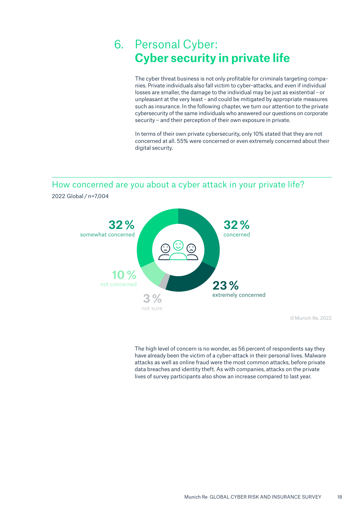### 6. Personal Cyber: **Cyber security in private life**

The cyber threat business is not only profitable for criminals targeting companies. Private individuals also fall victim to cyber-attacks, and even if individual losses are smaller, the damage to the individual may be just as existential - or unpleasant at the very least - and could be mitigated by appropriate measures such as insurance. In the following chapter, we turn our attention to the private cybersecurity of the same individuals who answered our questions on corporate security – and their perception of their own exposure in private.

In terms of their own private cybersecurity, only 10% stated that they are not concerned at all. 55% were concerned or even extremely concerned about their digital security.

How concerned are you about a cyber attack in your private life?



2022 Global / n=7,004

© Munich Re, 2022

The high level of concern is no wonder, as 56 percent of respondents say they have already been the victim of a cyber-attack in their personal lives. Malware attacks as well as online fraud were the most common attacks, before private data breaches and identity theft. As with companies, attacks on the private lives of survey participants also show an increase compared to last year.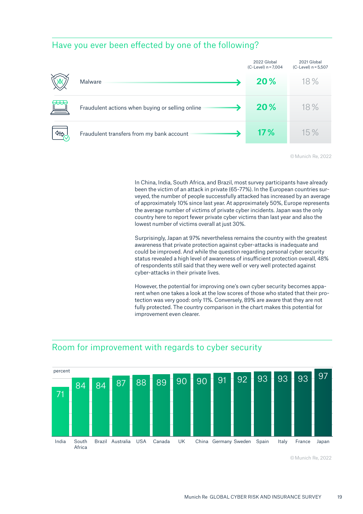### Have you ever been effected by one of the following?

|       |                                                  | 2022 Global<br>$(C$ -Level) $n = 7,004$ | 2021 Global<br>$(C$ -Level) $n = 5,507$ |
|-------|--------------------------------------------------|-----------------------------------------|-----------------------------------------|
|       | Malware                                          | <b>20%</b>                              | 18%                                     |
| क्रम् | Fraudulent actions when buying or selling online | 20%                                     | 18%                                     |
|       | Fraudulent transfers from my bank account        | 17%                                     | 15%                                     |

© Munich Re, 2022

In China, India, South Africa, and Brazil, most survey participants have already been the victim of an attack in private (65-77%). In the European countries surveyed, the number of people successfully attacked has increased by an average of approximately 10% since last year. At approximately 50%, Europe represents the average number of victims of private cyber incidents. Japan was the only country here to report fewer private cyber victims than last year and also the lowest number of victims overall at just 30%.

Surprisingly, Japan at 97% nevertheless remains the country with the greatest awareness that private protection against cyber-attacks is inadequate and could be improved. And while the question regarding personal cyber security status revealed a high level of awareness of insufficient protection overall, 48% of respondents still said that they were well or very well protected against cyber-attacks in their private lives.

However, the potential for improving one's own cyber security becomes apparent when one takes a look at the low scores of those who stated that their protection was very good: only 11%. Conversely, 89% are aware that they are not fully protected. The country comparison in the chart makes this potential for improvement even clearer.



### Room for improvement with regards to cyber security

<sup>©</sup>Munich Re, 2022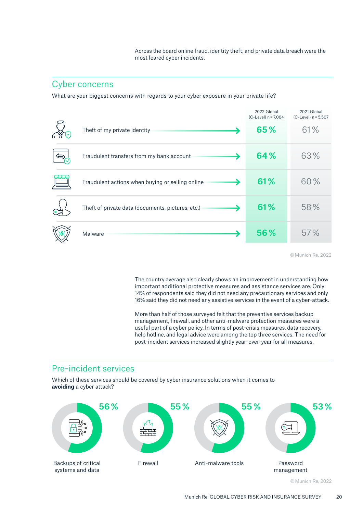Across the board online fraud, identity theft, and private data breach were the most feared cyber incidents.

#### Cyber concerns

What are your biggest concerns with regards to your cyber exposure in your private life?

|                                        |                                                   | 2022 Global<br>$(C$ -Level) $n = 7,004$ | 2021 Global<br>$(C$ -Level) $n = 5,507$ |
|----------------------------------------|---------------------------------------------------|-----------------------------------------|-----------------------------------------|
| $\left\lfloor \mathbf{v}\right\rfloor$ | Theft of my private identity                      | 65%                                     | 61%                                     |
| ∖≓                                     | Fraudulent transfers from my bank account         | 64%                                     | 63%                                     |
| $\pm\text{E}$                          | Fraudulent actions when buying or selling online  | 61%                                     | 60%                                     |
| (o ]                                   | Theft of private data (documents, pictures, etc.) | 61%                                     | 58%                                     |
|                                        | Malware                                           | 56%                                     | 57%                                     |

© Munich Re, 2022

The country average also clearly shows an improvement in understanding how important additional protective measures and assistance services are. Only 14% of respondents said they did not need any precautionary services and only 16% said they did not need any assistive services in the event of a cyber-attack.

More than half of those surveyed felt that the preventive services backup management, firewall, and other anti-malware protection measures were a useful part of a cyber policy. In terms of post-crisis measures, data recovery, help hotline, and legal advice were among the top three services. The need for post-incident services increased slightly year-over-year for all measures.

#### Pre-incident services

Which of these services should be covered by cyber insurance solutions when it comes to **avoiding** a cyber attack?

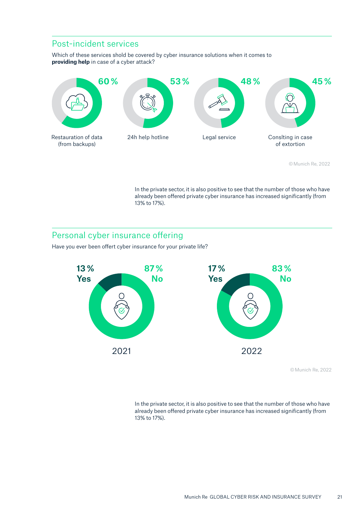### Post-incident services

Which of these services shold be covered by cyber insurance solutions when it comes to **providing help** in case of a cyber attack?



<sup>©</sup>Munich Re, 2022

In the private sector, it is also positive to see that the number of those who have already been offered private cyber insurance has increased significantly (from 13% to 17%).

### Personal cyber insurance offering

Have you ever been offert cyber insurance for your private life?



© Munich Re, 2022

In the private sector, it is also positive to see that the number of those who have already been offered private cyber insurance has increased significantly (from 13% to 17%).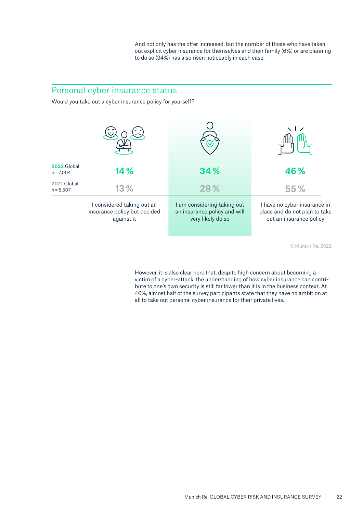And not only has the offer increased, but the number of those who have taken out explicit cyber insurance for themselves and their family (6%) or are planning to do so (34%) has also risen noticeably in each case.

### Personal cyber insurance status

Would you take out a cyber insurance policy for yourself?



© Munich Re, 2022

However, it is also clear here that, despite high concern about becoming a victim of a cyber-attack, the understanding of how cyber insurance can contribute to one's own security is still far lower than it is in the business context. At 46%, almost half of the survey participants state that they have no ambition at all to take out personal cyber insurance for their private lives.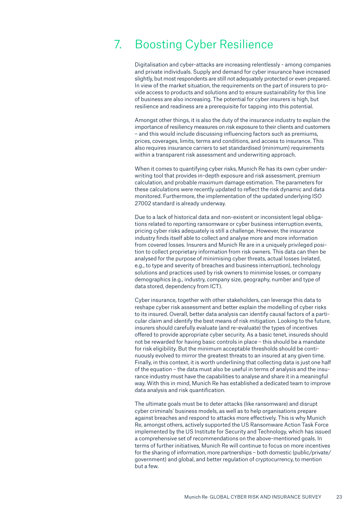## 7. Boosting Cyber Resilience

Digitalisation and cyber-attacks are increasing relentlessly - among companies and private individuals. Supply and demand for cyber insurance have increased slightly, but most respondents are still not adequately protected or even prepared. In view of the market situation, the requirements on the part of insurers to provide access to products and solutions and to ensure sustainability for this line of business are also increasing. The potential for cyber insurers is high, but resilience and readiness are a prerequisite for tapping into this potential.

Amongst other things, it is also the duty of the insurance industry to explain the importance of resiliency measures on risk exposure to their clients and customers – and this would include discussing influencing factors such as premiums, prices, coverages, limits, terms and conditions, and access to insurance. This also requires insurance carriers to set standardised (minimum) requirements within a transparent risk assessment and underwriting approach.

When it comes to quantifying cyber risks, Munich Re has its own cyber underwriting tool that provides in-depth exposure and risk assessment, premium calculation, and probable maximum damage estimation. The parameters for these calculations were recently updated to reflect the risk dynamic and data monitored. Furthermore, the implementation of the updated underlying ISO 27002 standard is already underway.

Due to a lack of historical data and non-existent or inconsistent legal obligations related to reporting ransomware or cyber business interruption events, pricing cyber risks adequately is still a challenge. However, the insurance industry finds itself able to collect and analyse more and more information from covered losses. Insurers and Munich Re are in a uniquely privileged position to collect proprietary information from risk owners. This data can then be analysed for the purpose of minimising cyber threats, actual losses (related, e.g., to type and severity of breaches and business interruption), technology solutions and practices used by risk owners to minimise losses, or company demographics (e.g., industry, company size, geography, number and type of data stored, dependency from ICT).

Cyber insurance, together with other stakeholders, can leverage this data to reshape cyber risk assessment and better explain the modelling of cyber risks to its insured. Overall, better data analysis can identify causal factors of a particular claim and identify the best means of risk mitigation. Looking to the future, insurers should carefully evaluate (and re-evaluate) the types of incentives offered to provide appropriate cyber security. As a basic tenet, insureds should not be rewarded for having basic controls in place – this should be a mandate for risk eligibility. But the minimum acceptable thresholds should be continuously evolved to mirror the greatest threats to an insured at any given time. Finally, in this context, it is worth underlining that collecting data is just one half of the equation – the data must also be useful in terms of analysis and the insurance industry must have the capabilities to analyse and share it in a meaningful way. With this in mind, Munich Re has established a dedicated team to improve data analysis and risk quantification.

The ultimate goals must be to deter attacks (like ransomware) and disrupt cyber criminals' business models, as well as to help organisations prepare against breaches and respond to attacks more effectively. This is why Munich Re, amongst others, actively supported the US Ransomware Action Task Force implemented by the US Institute for Security and Technology, which has issued a comprehensive set of recommendations on the above-mentioned goals. In terms of further initiatives, Munich Re will continue to focus on more incentives for the sharing of information, more partnerships – both domestic (public/private/ government) and global, and better regulation of cryptocurrency, to mention but a few.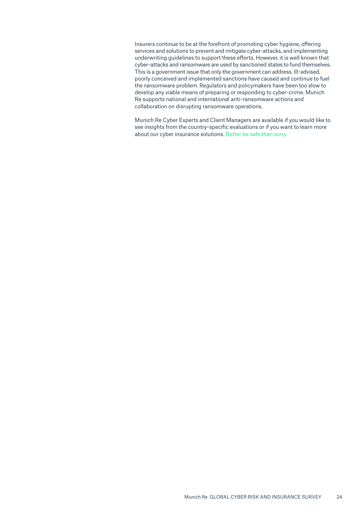Insurers continue to be at the forefront of promoting cyber hygiene, offering services and solutions to prevent and mitigate cyber-attacks, and implementing underwriting guidelines to support these efforts. However, it is well known that cyber-attacks and ransomware are used by sanctioned states to fund themselves. This is a government issue that only the government can address. Ill-advised, poorly conceived and implemented sanctions have caused and continue to fuel the ransomware problem. Regulators and policymakers have been too slow to develop any viable means of preparing or responding to cyber-crime. Munich Re supports national and international anti-ransomware actions and collaboration on disrupting ransomware operations.

Munich Re Cyber Experts and Client Managers are available if you would like to see insights from the country-specific evaluations or if you want to learn more about our cyber insurance solutions. Better be safe than sorry.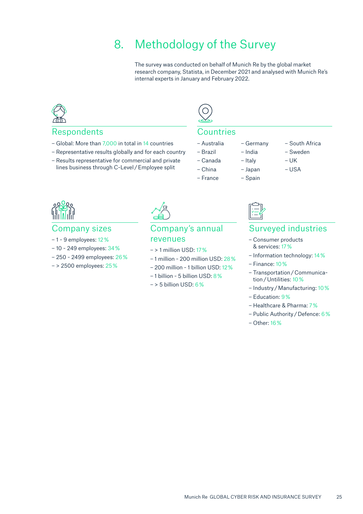## 8. Methodology of the Survey

The survey was conducted on behalf of Munich Re by the global market research company, Statista, in December 2021 and analysed with Munich Re's internal experts in January and February 2022.

### Respondents

- Global: More than 7,000 in total in 14 countries
- Representative results globally and for each country
- Results representative for commercial and private lines business through C-Level / Employee split



#### Countries

- 
- 
- Canada Italy UK
- China Japan USA
- France Spain
- Australia Germany South Africa
- Brazil India Sweden
	-
	-
	-
	-

#### Company sizes

- 1 9 employees: 12 %
- 10 249 employees: 34 %
- 250 2499 employees: 26 %
- > 2500 employees: 25 %



### Company's annual revenues

- > 1 million USD: 17 %
- 1 million 200 million USD: 28 %
- 200 million 1 billion USD: 12 %
- 1 billion 5 billion USD: 8 %
- > 5 billion USD: 6 %



### Surveyed industries

- Consumer products & services: 17 %
- Information technology: 14 %
- Finance: 10 %
- Transportation / Communication / Untilities: 10 %
- Industry / Manufacturing: 10 %
- Education: 9 %
- Healthcare & Pharma: 7 %
- Public Authority / Defence: 6 %
- Other: 16 %